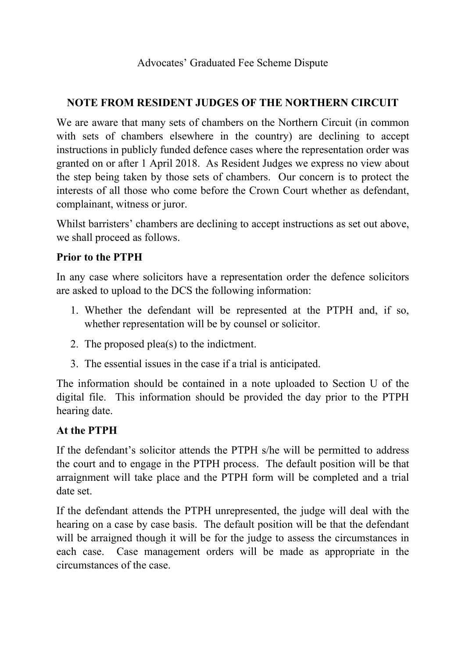## Advocates' Graduated Fee Scheme Dispute

## **NOTE FROM RESIDENT JUDGES OF THE NORTHERN CIRCUIT**

We are aware that many sets of chambers on the Northern Circuit (in common with sets of chambers elsewhere in the country) are declining to accept instructions in publicly funded defence cases where the representation order was granted on or after 1 April 2018. As Resident Judges we express no view about the step being taken by those sets of chambers. Our concern is to protect the interests of all those who come before the Crown Court whether as defendant, complainant, witness or juror.

Whilst barristers' chambers are declining to accept instructions as set out above, we shall proceed as follows.

#### **Prior to the PTPH**

In any case where solicitors have a representation order the defence solicitors are asked to upload to the DCS the following information:

- 1. Whether the defendant will be represented at the PTPH and, if so, whether representation will be by counsel or solicitor.
- 2. The proposed plea(s) to the indictment.
- 3. The essential issues in the case if a trial is anticipated.

The information should be contained in a note uploaded to Section U of the digital file. This information should be provided the day prior to the PTPH hearing date.

#### **At the PTPH**

If the defendant's solicitor attends the PTPH s/he will be permitted to address the court and to engage in the PTPH process. The default position will be that arraignment will take place and the PTPH form will be completed and a trial date set.

If the defendant attends the PTPH unrepresented, the judge will deal with the hearing on a case by case basis. The default position will be that the defendant will be arraigned though it will be for the judge to assess the circumstances in each case. Case management orders will be made as appropriate in the circumstances of the case.